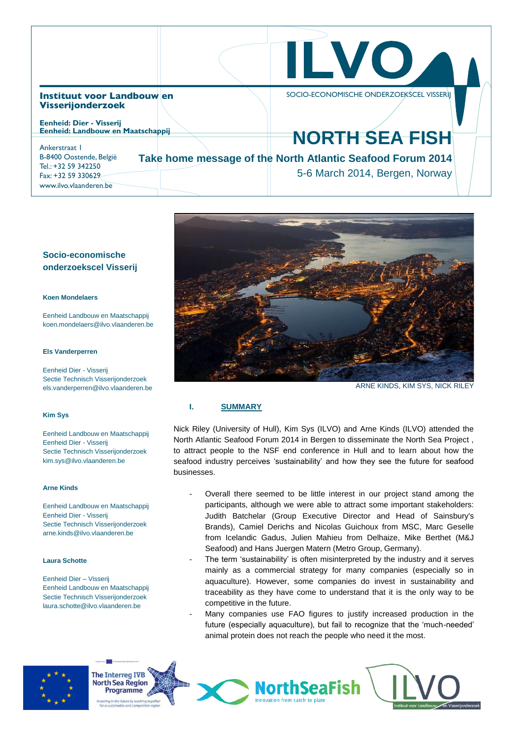|                                                                                                                                | ILVO,                                                                                                                 |
|--------------------------------------------------------------------------------------------------------------------------------|-----------------------------------------------------------------------------------------------------------------------|
| Instituut voor Landbouwlen<br><b>Visserijonderzoek</b><br><b>Eenheid: Dier - Visserij</b><br>Eenheid: Landbouw en Maatschappij | SOCIO-ECONOMISCHE ONDERZOEKSCEL VISSERII                                                                              |
| Ankerstraat I<br>B-8400 Oostende, België<br>Tel.: +32 59 342250<br>Fax: +32 59 330629<br>www.ilvo.vlaanderen.be                | <b>NORTH SEA FISH</b><br>Take home message of the North Atlantic Seafood Forum 2014<br>5-6 March 2014, Bergen, Norway |

# **Socio-economische onderzoekscel Visserij**

#### **Koen Mondelaers**

Eenheid Landbouw en Maatschappij koen.mondelaers@ilvo.vlaanderen.be

#### **Els Vanderperren**

Eenheid Dier - Visserij Sectie Technisch Visserijonderzoek els.vanderperren@ilvo.vlaanderen.be

#### **Kim Sys**

Eenheid Landbouw en Maatschappij Eenheid Dier - Visserij Sectie Technisch Visserijonderzoek kim.sys@ilvo.vlaanderen.be

#### **Arne Kinds**

Eenheid Landbouw en Maatschappij Eenheid Dier - Visserij Sectie Technisch Visserijonderzoek arne.kinds@ilvo.vlaanderen.be

#### **Laura Schotte**

Eenheid Dier – Visserij Eenheid Landbouw en Maatschappij Sectie Technisch Visserijonderzoek laura.schotte@ilvo.vlaanderen.be



ARNE KINDS, KIM SYS, NICK RILEY

# **I. SUMMARY**

Nick Riley (University of Hull), Kim Sys (ILVO) and Arne Kinds (ILVO) attended the North Atlantic Seafood Forum 2014 in Bergen to disseminate the North Sea Project , to attract people to the NSF end conference in Hull and to learn about how the seafood industry perceives 'sustainability' and how they see the future for seafood businesses.

- Overall there seemed to be little interest in our project stand among the participants, although we were able to attract some important stakeholders: Judith Batchelar (Group Executive Director and Head of Sainsbury's Brands), Camiel Derichs and Nicolas Guichoux from MSC, Marc Geselle from Icelandic Gadus, Julien Mahieu from Delhaize, Mike Berthet (M&J Seafood) and Hans Juergen Matern (Metro Group, Germany).
- The term 'sustainability' is often misinterpreted by the industry and it serves mainly as a commercial strategy for many companies (especially so in aquaculture). However, some companies do invest in sustainability and traceability as they have come to understand that it is the only way to be competitive in the future.
- Many companies use FAO figures to justify increased production in the future (especially aquaculture), but fail to recognize that the 'much-needed' animal protein does not reach the people who need it the most.

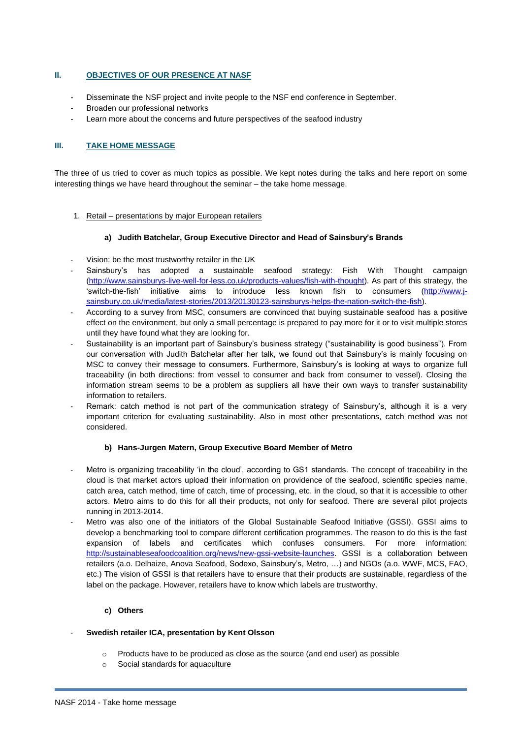## **II. OBJECTIVES OF OUR PRESENCE AT NASF**

- Disseminate the NSF project and invite people to the NSF end conference in September.
- Broaden our professional networks
- Learn more about the concerns and future perspectives of the seafood industry

## **III. TAKE HOME MESSAGE**

The three of us tried to cover as much topics as possible. We kept notes during the talks and here report on some interesting things we have heard throughout the seminar – the take home message.

1. Retail – presentations by major European retailers

### **a) Judith Batchelar, Group Executive Director and Head of Sainsbury's Brands**

- Vision: be the most trustworthy retailer in the UK
- Sainsbury's has adopted a sustainable seafood strategy: Fish With Thought campaign [\(http://www.sainsburys-live-well-for-less.co.uk/products-values/fish-with-thought\)](http://www.sainsburys-live-well-for-less.co.uk/products-values/fish-with-thought). As part of this strategy, the 'switch-the-fish' initiative aims to introduce less known fish to consumers [\(http://www.j](http://www.j-sainsbury.co.uk/media/latest-stories/2013/20130123-sainsburys-helps-the-nation-switch-the-fish)[sainsbury.co.uk/media/latest-stories/2013/20130123-sainsburys-helps-the-nation-switch-the-fish\)](http://www.j-sainsbury.co.uk/media/latest-stories/2013/20130123-sainsburys-helps-the-nation-switch-the-fish).
- According to a survey from MSC, consumers are convinced that buying sustainable seafood has a positive effect on the environment, but only a small percentage is prepared to pay more for it or to visit multiple stores until they have found what they are looking for.
- Sustainability is an important part of Sainsbury's business strategy ("sustainability is good business"). From our conversation with Judith Batchelar after her talk, we found out that Sainsbury's is mainly focusing on MSC to convey their message to consumers. Furthermore, Sainsbury's is looking at ways to organize full traceability (in both directions: from vessel to consumer and back from consumer to vessel). Closing the information stream seems to be a problem as suppliers all have their own ways to transfer sustainability information to retailers.
- Remark: catch method is not part of the communication strategy of Sainsbury's, although it is a very important criterion for evaluating sustainability. Also in most other presentations, catch method was not considered.

## **b) Hans-Jurgen Matern, Group Executive Board Member of Metro**

- Metro is organizing traceability 'in the cloud', according to GS1 standards. The concept of traceability in the cloud is that market actors upload their information on providence of the seafood, scientific species name, catch area, catch method, time of catch, time of processing, etc. in the cloud, so that it is accessible to other actors. Metro aims to do this for all their products, not only for seafood. There are several pilot projects running in 2013-2014.
- Metro was also one of the initiators of the Global Sustainable Seafood Initiative (GSSI). GSSI aims to develop a benchmarking tool to compare different certification programmes. The reason to do this is the fast expansion of labels and certificates which confuses consumers. For more information: [http://sustainableseafoodcoalition.org/news/new-gssi-website-launches.](http://sustainableseafoodcoalition.org/news/new-gssi-website-launches) GSSI is a collaboration between retailers (a.o. Delhaize, Anova Seafood, Sodexo, Sainsbury's, Metro, …) and NGOs (a.o. WWF, MCS, FAO, etc.) The vision of GSSI is that retailers have to ensure that their products are sustainable, regardless of the label on the package. However, retailers have to know which labels are trustworthy.

## **c) Others**

## - **Swedish retailer ICA, presentation by Kent Olsson**

- $\circ$  Products have to be produced as close as the source (and end user) as possible
- o Social standards for aquaculture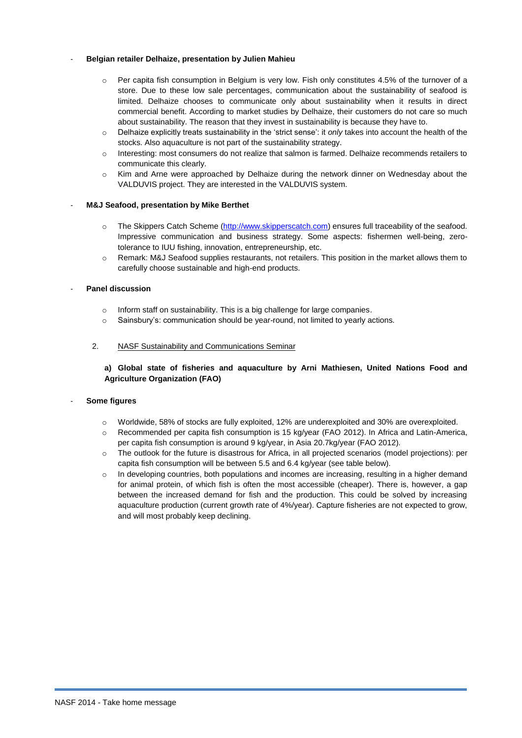### - **Belgian retailer Delhaize, presentation by Julien Mahieu**

- o Per capita fish consumption in Belgium is very low. Fish only constitutes 4.5% of the turnover of a store. Due to these low sale percentages, communication about the sustainability of seafood is limited. Delhaize chooses to communicate only about sustainability when it results in direct commercial benefit. According to market studies by Delhaize, their customers do not care so much about sustainability. The reason that they invest in sustainability is because they have to.
- o Delhaize explicitly treats sustainability in the 'strict sense': it *only* takes into account the health of the stocks. Also aquaculture is not part of the sustainability strategy.
- o Interesting: most consumers do not realize that salmon is farmed. Delhaize recommends retailers to communicate this clearly.
- o Kim and Arne were approached by Delhaize during the network dinner on Wednesday about the VALDUVIS project. They are interested in the VALDUVIS system.

## - **M&J Seafood, presentation by Mike Berthet**

- o The Skippers Catch Scheme [\(http://www.skipperscatch.com\)](http://www.skipperscatch.com/) ensures full traceability of the seafood. Impressive communication and business strategy. Some aspects: fishermen well-being, zerotolerance to IUU fishing, innovation, entrepreneurship, etc.
- o Remark: M&J Seafood supplies restaurants, not retailers. This position in the market allows them to carefully choose sustainable and high-end products.

### - **Panel discussion**

- o Inform staff on sustainability. This is a big challenge for large companies.
- o Sainsbury's: communication should be year-round, not limited to yearly actions.

#### 2. NASF Sustainability and Communications Seminar

## **a) Global state of fisheries and aquaculture by Arni Mathiesen, United Nations Food and Agriculture Organization (FAO)**

#### - **Some figures**

- o Worldwide, 58% of stocks are fully exploited, 12% are underexploited and 30% are overexploited.
- o Recommended per capita fish consumption is 15 kg/year (FAO 2012). In Africa and Latin-America, per capita fish consumption is around 9 kg/year, in Asia 20.7kg/year (FAO 2012).
- o The outlook for the future is disastrous for Africa, in all projected scenarios (model projections): per capita fish consumption will be between 5.5 and 6.4 kg/year (see table below).
- o In developing countries, both populations and incomes are increasing, resulting in a higher demand for animal protein, of which fish is often the most accessible (cheaper). There is, however, a gap between the increased demand for fish and the production. This could be solved by increasing aquaculture production (current growth rate of 4%/year). Capture fisheries are not expected to grow, and will most probably keep declining.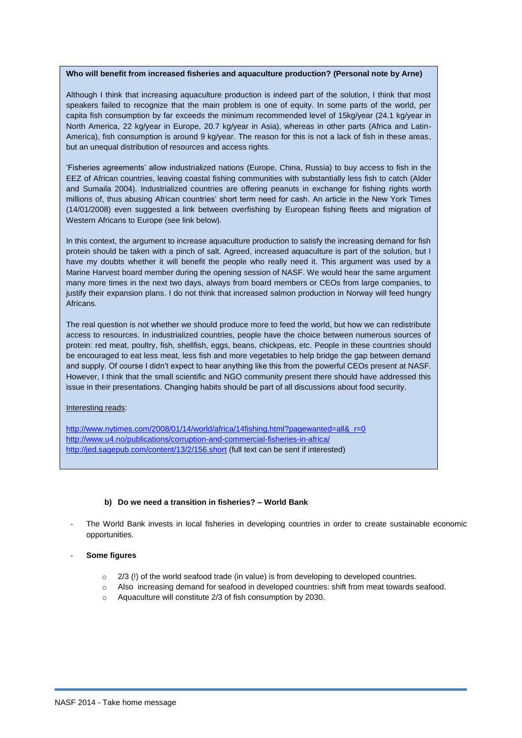#### **Who will benefit from increased fisheries and aquaculture production? (Personal note by Arne)**

Although I think that increasing aquaculture production is indeed part of the solution, I think that most speakers failed to recognize that the main problem is one of equity. In some parts of the world, per capita fish consumption by far exceeds the minimum recommended level of 15kg/year (24.1 kg/year in North America, 22 kg/year in Europe, 20.7 kg/year in Asia), whereas in other parts (Africa and Latin-America), fish consumption is around 9 kg/year. The reason for this is not a lack of fish in these areas, but an unequal distribution of resources and access rights.

'Fisheries agreements' allow industrialized nations (Europe, China, Russia) to buy access to fish in the EEZ of African countries, leaving coastal fishing communities with substantially less fish to catch (Alder and Sumaila 2004). Industrialized countries are offering peanuts in exchange for fishing rights worth millions of, thus abusing African countries' short term need for cash. An article in the New York Times (14/01/2008) even suggested a link between overfishing by European fishing fleets and migration of Western Africans to Europe (see link below).

In this context, the argument to increase aquaculture production to satisfy the increasing demand for fish protein should be taken with a pinch of salt. Agreed, increased aquaculture is part of the solution, but I have my doubts whether it will benefit the people who really need it. This argument was used by a Marine Harvest board member during the opening session of NASF. We would hear the same argument many more times in the next two days, always from board members or CEOs from large companies, to justify their expansion plans. I do not think that increased salmon production in Norway will feed hungry Africans.

The real question is not whether we should produce more to feed the world, but how we can redistribute access to resources. In industrialized countries, people have the choice between numerous sources of protein: red meat, poultry, fish, shellfish, eggs, beans, chickpeas, etc. People in these countries should be encouraged to eat less meat, less fish and more vegetables to help bridge the gap between demand and supply. Of course I didn't expect to hear anything like this from the powerful CEOs present at NASF. However, I think that the small scientific and NGO community present there should have addressed this issue in their presentations. Changing habits should be part of all discussions about food security.

#### Interesting reads:

[http://www.nytimes.com/2008/01/14/world/africa/14fishing.html?pagewanted=all&\\_r=0](http://www.nytimes.com/2008/01/14/world/africa/14fishing.html?pagewanted=all&_r=0) <http://www.u4.no/publications/corruption-and-commercial-fisheries-in-africa/> <http://jed.sagepub.com/content/13/2/156.short> (full text can be sent if interested)

### **b) Do we need a transition in fisheries? – World Bank**

The World Bank invests in local fisheries in developing countries in order to create sustainable economic opportunities.

#### - **Some figures**

- o 2/3 (!) of the world seafood trade (in value) is from developing to developed countries.
- o Also increasing demand for seafood in developed countries: shift from meat towards seafood.
- o Aquaculture will constitute 2/3 of fish consumption by 2030.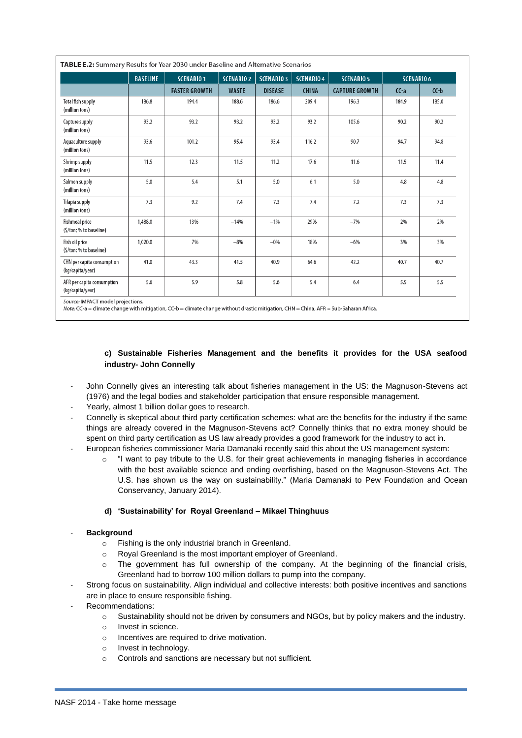| TABLE E.2: Summary Results for Year 2030 under Baseline and Alternative Scenarios |                 |                      |                   |                   |                   |                       |                   |         |
|-----------------------------------------------------------------------------------|-----------------|----------------------|-------------------|-------------------|-------------------|-----------------------|-------------------|---------|
|                                                                                   | <b>BASELINE</b> | <b>SCENARIO 1</b>    | <b>SCENARIO 2</b> | <b>SCENARIO 3</b> | <b>SCENARIO 4</b> | <b>SCENARIO 5</b>     | <b>SCENARIO 6</b> |         |
|                                                                                   |                 | <b>FASTER GROWTH</b> | <b>WASTE</b>      | <b>DISEASE</b>    | <b>CHINA</b>      | <b>CAPTURE GROWTH</b> | $CC-a$            | $C(-b)$ |
| <b>Total fish supply</b><br>(million tons)                                        | 186.8           | 194.4                | 188.6             | 186.6             | 209.4             | 196.3                 | 184.9             | 185.0   |
| Capture supply<br>(million tons)                                                  | 93.2            | 93.2                 | 93.2              | 93.2              | 93.2              | 105.6                 | 90.2              | 90.2    |
| Aquaculture supply<br>(million tons)                                              | 93.6            | 101.2                | 95.4              | 93.4              | 116.2             | 90.7                  | 94.7              | 94.8    |
| Shrimp supply<br>(million tons)                                                   | 11.5            | 12.3                 | 11.5              | 11.2              | 17.6              | 11.6                  | 11.5              | 11.4    |
| Salmon supply<br>(million tons)                                                   | 5.0             | 5.4                  | 5.1               | 5.0               | 6.1               | 5.0                   | 4.8               | 4.8     |
| Tilapia supply<br>(million tons)                                                  | 7.3             | 9.2                  | 7.4               | 7.3               | 7.4               | 7.2                   | 7.3               | 7.3     |
| <b>Fishmeal price</b><br>(\$/ton; % to baseline)                                  | 1,488.0         | 13%                  | $-14%$            | $-1%$             | 29%               | $-7%$                 | 2%                | 2%      |
| Fish oil price<br>(\$/ton; % to baseline)                                         | 1,020.0         | 7%                   | $-8%$             | $-0%$             | 18%               | $-6%$                 | 3%                | 3%      |
| CHN per capita consumption<br>(kg/capita/year)                                    | 41.0            | 43.3                 | 41.5              | 40.9              | 64.6              | 42.2                  | 40.7              | 40.7    |
| AFR per capita consumption<br>(kg/capita/year)                                    | 5.6             | 5.9                  | 5.8               | 5.6               | 5.4               | 6.4                   | 5.5               | 5.5     |

Note: CC-a = climate change with mitigation, CC-b = climate change without drastic mitigation, CHN = China, AFR = Sub-Saharan Africa.

# **c) Sustainable Fisheries Management and the benefits it provides for the USA seafood industry- John Connelly**

- John Connelly gives an interesting talk about fisheries management in the US: the Magnuson-Stevens act (1976) and the legal bodies and stakeholder participation that ensure responsible management.
- Yearly, almost 1 billion dollar goes to research.
- Connelly is skeptical about third party certification schemes: what are the benefits for the industry if the same things are already covered in the Magnuson-Stevens act? Connelly thinks that no extra money should be spent on third party certification as US law already provides a good framework for the industry to act in.
- European fisheries commissioner Maria Damanaki recently said this about the US management system:
	- $\circ$  "I want to pay tribute to the U.S. for their great achievements in managing fisheries in accordance with the best available science and ending overfishing, based on the Magnuson-Stevens Act. The U.S. has shown us the way on sustainability." (Maria Damanaki to Pew Foundation and Ocean Conservancy, January 2014).

# **d) 'Sustainability' for Royal Greenland – Mikael Thinghuus**

## - **Background**

- o Fishing is the only industrial branch in Greenland.
- o Royal Greenland is the most important employer of Greenland.
- o The government has full ownership of the company. At the beginning of the financial crisis, Greenland had to borrow 100 million dollars to pump into the company.
- Strong focus on sustainability. Align individual and collective interests: both positive incentives and sanctions are in place to ensure responsible fishing.
- Recommendations:
	- o Sustainability should not be driven by consumers and NGOs, but by policy makers and the industry.
	- o Invest in science.
	- o Incentives are required to drive motivation.
	- o Invest in technology.
	- o Controls and sanctions are necessary but not sufficient.